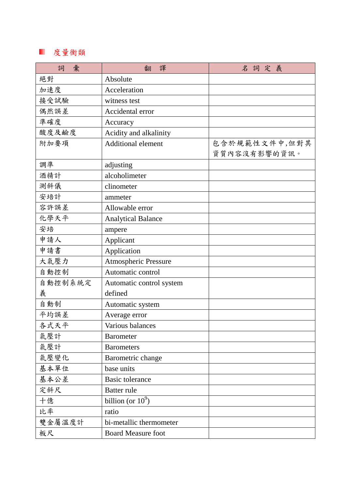## 度量衡類

| 彙<br>詞  | 譯<br>翻                      | 名詞定義          |
|---------|-----------------------------|---------------|
| 絕對      | Absolute                    |               |
| 加速度     | Acceleration                |               |
| 接受試驗    | witness test                |               |
| 偶然誤差    | Accidental error            |               |
| 準確度     | Accuracy                    |               |
| 酸度及鹼度   | Acidity and alkalinity      |               |
| 附加要項    | <b>Additional element</b>   | 包含於規範性文件中,但對其 |
|         |                             | 資質內容沒有影響的資訊。  |
| 調準      | adjusting                   |               |
| 酒精計     | alcoholimeter               |               |
| 測斜儀     | clinometer                  |               |
| 安培計     | ammeter                     |               |
| 容許誤差    | Allowable error             |               |
| 化學天平    | <b>Analytical Balance</b>   |               |
| 安培      | ampere                      |               |
| 申請人     | Applicant                   |               |
| 申請書     | Application                 |               |
| 大氣壓力    | <b>Atmospheric Pressure</b> |               |
| 自動控制    | Automatic control           |               |
| 自動控制系統定 | Automatic control system    |               |
| 義       | defined                     |               |
| 自動制     | Automatic system            |               |
| 平均誤差    | Average error               |               |
| 各式天平    | Various balances            |               |
| 氣壓計     | <b>Barometer</b>            |               |
| 氣壓計     | <b>Barometers</b>           |               |
| 氣壓變化    | Barometric change           |               |
| 基本單位    | base units                  |               |
| 基本公差    | <b>Basic tolerance</b>      |               |
| 定斜尺     | <b>Batter rule</b>          |               |
| 十億      | billion (or $10^9$ )        |               |
| 比率      | ratio                       |               |
| 雙金屬溫度計  | bi-metallic thermometer     |               |
| 板尺      | <b>Board Measure foot</b>   |               |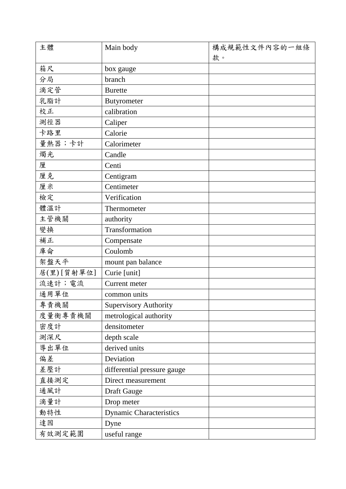| 主體         | Main body                      | 構成規範性文件內容的一組條 |
|------------|--------------------------------|---------------|
|            |                                | 款。            |
| 箱尺         | box gauge                      |               |
| 分局         | branch                         |               |
| 滴定管        | <b>Burette</b>                 |               |
| 乳脂計        | <b>Butyrometer</b>             |               |
| 校正         | calibration                    |               |
| 測徑器        | Caliper                        |               |
| 卡路里        | Calorie                        |               |
| 量熱器;卡計     | Calorimeter                    |               |
| 燭光         | Candle                         |               |
| 厘          | Centi                          |               |
| 厘克         | Centigram                      |               |
| 厘米         | Centimeter                     |               |
| 檢定         | Verification                   |               |
| 體溫計        | Thermometer                    |               |
| 主管機關       | authority                      |               |
| 變換         | Transformation                 |               |
| 補正         | Compensate                     |               |
| 庫侖         | Coulomb                        |               |
| 架盤天平       | mount pan balance              |               |
| 居(里)[質射單位] | Curie [unit]                   |               |
| 流速計;電流     | Current meter                  |               |
| 通用單位       | common units                   |               |
| 專責機關       | <b>Supervisory Authority</b>   |               |
| 度量衡專責機關    | metrological authority         |               |
| 密度計        | densitometer                   |               |
| 測深尺        | depth scale                    |               |
| 導出單位       | derived units                  |               |
| 偏差         | Deviation                      |               |
| 差壓計        | differential pressure gauge    |               |
| 直接測定       | Direct measurement             |               |
| 通風計        | Draft Gauge                    |               |
| 滴量計        | Drop meter                     |               |
| 動特性        | <b>Dynamic Characteristics</b> |               |
| 達因         | Dyne                           |               |
| 有效測定範圍     | useful range                   |               |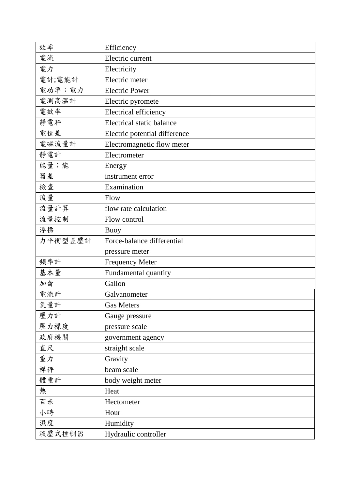| 效率      | Efficiency                       |  |
|---------|----------------------------------|--|
| 電流      | Electric current                 |  |
| 電力      | Electricity                      |  |
| 電計;電能計  | Electric meter                   |  |
| 電功率;電力  | <b>Electric Power</b>            |  |
| 電測高溫計   | Electric pyromete                |  |
| 電效率     | Electrical efficiency            |  |
| 靜電秤     | <b>Electrical static balance</b> |  |
| 電位差     | Electric potential difference    |  |
| 電磁流量計   | Electromagnetic flow meter       |  |
| 靜電計     | Electrometer                     |  |
| 能量;能    | Energy                           |  |
| 器差      | instrument error                 |  |
| 檢查      | Examination                      |  |
| 流量      | Flow                             |  |
| 流量計算    | flow rate calculation            |  |
| 流量控制    | Flow control                     |  |
| 浮標      | <b>Buoy</b>                      |  |
| 力平衡型差壓計 | Force-balance differential       |  |
|         | pressure meter                   |  |
| 頻率計     | <b>Frequency Meter</b>           |  |
| 基本量     | Fundamental quantity             |  |
| 加侖      | Gallon                           |  |
| 電流計     | Galvanometer                     |  |
| 氣量計     | <b>Gas Meters</b>                |  |
| 壓力計     | Gauge pressure                   |  |
| 壓力標度    | pressure scale                   |  |
| 政府機關    | government agency                |  |
| 直尺      | straight scale                   |  |
| 重力      | Gravity                          |  |
| 桿秤      | beam scale                       |  |
| 體重計     | body weight meter                |  |
| 熱       | Heat                             |  |
| 百米      | Hectometer                       |  |
| 小時      | Hour                             |  |
| 濕度      | Humidity                         |  |
| 液壓式控制器  | Hydraulic controller             |  |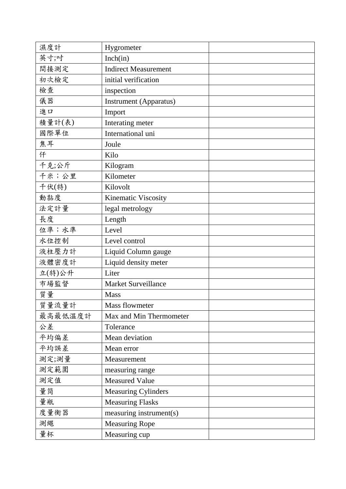| 濕度計     | Hygrometer                    |  |
|---------|-------------------------------|--|
| 英寸;吋    | Inch(in)                      |  |
| 間接測定    | <b>Indirect Measurement</b>   |  |
| 初次檢定    | initial verification          |  |
| 檢查      | inspection                    |  |
| 儀器      | <b>Instrument</b> (Apparatus) |  |
| 進口      | Import                        |  |
| 積量計(表)  | Interating meter              |  |
| 國際單位    | International uni             |  |
| 焦耳      | Joule                         |  |
| 仟       | Kilo                          |  |
| 千克;公斤   | Kilogram                      |  |
| 千米;公里   | Kilometer                     |  |
| 千伏(特)   | Kilovolt                      |  |
| 動黏度     | Kinematic Viscosity           |  |
| 法定計量    | legal metrology               |  |
| 長度      | Length                        |  |
| 位準;水準   | Level                         |  |
| 水位控制    | Level control                 |  |
| 液柱壓力計   | Liquid Column gauge           |  |
| 液體密度計   | Liquid density meter          |  |
| 立(特)公升  | Liter                         |  |
| 市場監督    | <b>Market Surveillance</b>    |  |
| 質量      | <b>Mass</b>                   |  |
| 質量流量計   | Mass flowmeter                |  |
| 最高最低温度計 | Max and Min Thermometer       |  |
| 公差      | Tolerance                     |  |
| 平均偏差    | Mean deviation                |  |
| 平均誤差    | Mean error                    |  |
| 測定;測量   | Measurement                   |  |
| 測定範圍    | measuring range               |  |
| 測定值     | <b>Measured Value</b>         |  |
| 量筒      | <b>Measuring Cylinders</b>    |  |
| 量瓶      | <b>Measuring Flasks</b>       |  |
| 度量衡器    | measuring instrument(s)       |  |
| 測繩      | <b>Measuring Rope</b>         |  |
| 量杯      | Measuring cup                 |  |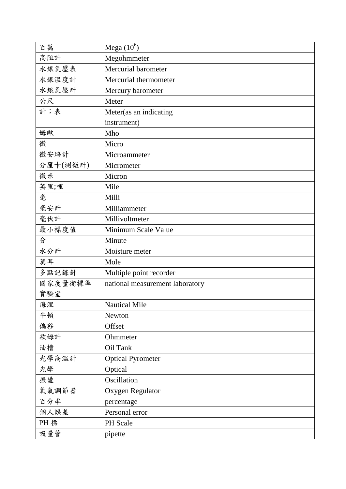| 百萬       | Mega $(10^6)$                   |  |
|----------|---------------------------------|--|
| 高阻計      | Megohmmeter                     |  |
| 水銀氣壓表    | Mercurial barometer             |  |
| 水銀溫度計    | Mercurial thermometer           |  |
| 水銀氣壓計    | Mercury barometer               |  |
| 公尺       | Meter                           |  |
| 計;表      | Meter(as an indicating          |  |
|          | instrument)                     |  |
| 姆歐       | Mho                             |  |
| 微        | Micro                           |  |
| 微安培計     | Microammeter                    |  |
| 分厘卡(測微計) | Micrometer                      |  |
| 微米       | Micron                          |  |
| 英里;哩     | Mile                            |  |
| 毫        | Milli                           |  |
| 毫安計      | Milliammeter                    |  |
| 毫伏計      | Millivoltmeter                  |  |
| 最小標度值    | Minimum Scale Value             |  |
| 分        | Minute                          |  |
| 水分計      | Moisture meter                  |  |
| 莫耳       | Mole                            |  |
| 多點記錄針    | Multiple point recorder         |  |
| 國家度量衡標準  | national measurement laboratory |  |
| 實驗室      |                                 |  |
| 海浬       | <b>Nautical Mile</b>            |  |
| 牛頓       | Newton                          |  |
| 偏移       | Offset                          |  |
| 歐姆計      | Ohmmeter                        |  |
| 油槽       | Oil Tank                        |  |
| 光學高溫計    | <b>Optical Pyrometer</b>        |  |
| 光學       | Optical                         |  |
| 振盪       | Oscillation                     |  |
| 氧氣調節器    | Oxygen Regulator                |  |
| 百分率      | percentage                      |  |
| 個人誤差     | Personal error                  |  |
| PH 標     | PH Scale                        |  |
| 吸量管      | pipette                         |  |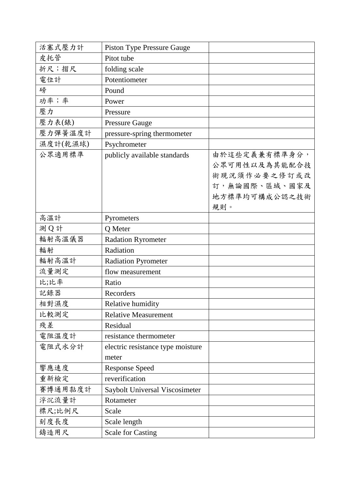| 活塞式壓力計   | <b>Piston Type Pressure Gauge</b> |               |
|----------|-----------------------------------|---------------|
| 皮托管      | Pitot tube                        |               |
| 折尺;摺尺    | folding scale                     |               |
| 電位計      | Potentiometer                     |               |
| 磅        | Pound                             |               |
| 功率;率     | Power                             |               |
| 壓力       | Pressure                          |               |
| 壓力表(錶)   | <b>Pressure Gauge</b>             |               |
| 壓力彈簧溫度計  | pressure-spring thermometer       |               |
| 濕度計(乾濕球) | Psychrometer                      |               |
| 公眾適用標準   | publicly available standards      | 由於這些定義兼有標準身分, |
|          |                                   | 公眾可用性以及為其能配合技 |
|          |                                   | 術現況須作必要之修訂或改  |
|          |                                   | 訂,無論國際、區域、國家及 |
|          |                                   | 地方標準均可構成公認之技術 |
|          |                                   | 規則。           |
| 高溫計      | Pyrometers                        |               |
| 測Q計      | Q Meter                           |               |
| 輻射高溫儀器   | <b>Radation Ryrometer</b>         |               |
| 輻射       | Radiation                         |               |
| 輻射高溫計    | <b>Radiation Pyrometer</b>        |               |
| 流量測定     | flow measurement                  |               |
| 比;比率     | Ratio                             |               |
| 記錄器      | Recorders                         |               |
| 相對濕度     | Relative humidity                 |               |
| 比較測定     | <b>Relative Measurement</b>       |               |
| 殘差       | Residual                          |               |
| 電阻溫度計    | resistance thermometer            |               |
| 電阻式水分計   | electric resistance type moisture |               |
|          | meter                             |               |
| 響應速度     | <b>Response Speed</b>             |               |
| 重新檢定     | reverification                    |               |
| 賽博通用黏度計  | Saybolt Universal Viscosimeter    |               |
| 浮沉流量計    | Rotameter                         |               |
| 標尺;比例尺   | Scale                             |               |
| 刻度長度     | Scale length                      |               |
| 鑄造用尺     | <b>Scale for Casting</b>          |               |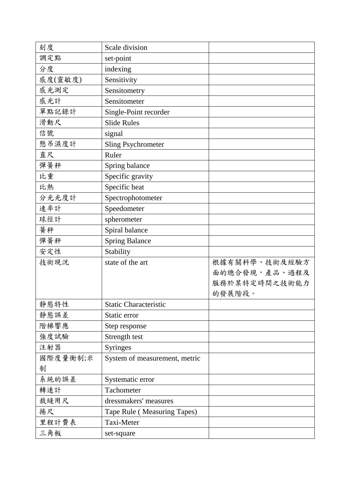| 刻度       | Scale division                |               |
|----------|-------------------------------|---------------|
| 調定點      | set-point                     |               |
| 分度       | indexing                      |               |
| 感度(靈敏度)  | Sensitivity                   |               |
| 感光測定     | Sensitometry                  |               |
| 感光計      | Sensitometer                  |               |
| 單點記錄計    | Single-Point recorder         |               |
| 滑動尺      | <b>Slide Rules</b>            |               |
| 信號       | signal                        |               |
| 懸吊濕度計    | <b>Sling Psychrometer</b>     |               |
| 直尺       | Ruler                         |               |
| 彈簧秤      | Spring balance                |               |
| 比重       | Specific gravity              |               |
| 比熱       | Specific heat                 |               |
| 分光光度計    | Spectrophotometer             |               |
| 速率計      | Speedometer                   |               |
| 球徑計      | spherometer                   |               |
| 等秤       | Spiral balance                |               |
| 彈簧秤      | <b>Spring Balance</b>         |               |
| 安定性      | Stability                     |               |
| 技術現況     | state of the art              | 根據有關科學、技術及經驗方 |
|          |                               | 面的總合發現,產品、過程及 |
|          |                               | 服務於某特定時間之技術能力 |
|          |                               | 的發展階段。        |
| 靜態特性     | <b>Static Characteristic</b>  |               |
| 靜態誤差     | Static error                  |               |
| 階梯響應     | Step response                 |               |
| 強度試驗     | Strength test                 |               |
| 注射器      | <b>Syringes</b>               |               |
| 國際度量衡制;米 | System of measurement, metric |               |
| 制        |                               |               |
| 系統的誤差    | Systematic error              |               |
| 轉速計      | Tachometer                    |               |
| 裁縫用尺     | dressmakers' measures         |               |
| 捲尺       | Tape Rule (Measuring Tapes)   |               |
| 里程計費表    | Taxi-Meter                    |               |
| 三角板      | set-square                    |               |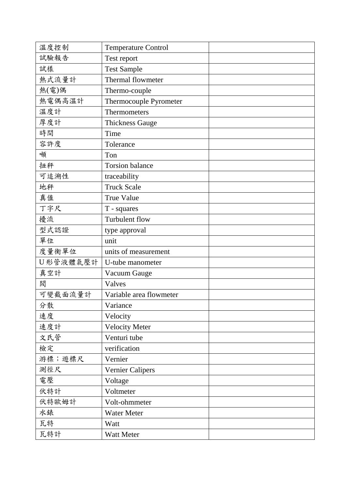| 溫度控制     | <b>Temperature Control</b> |  |
|----------|----------------------------|--|
| 試驗報告     | Test report                |  |
| 試樣       | <b>Test Sample</b>         |  |
| 熱式流量計    | Thermal flowmeter          |  |
| 熱(電)偶    | Thermo-couple              |  |
| 熱電偶高溫計   | Thermocouple Pyrometer     |  |
| 溫度計      | Thermometers               |  |
| 厚度計      | <b>Thickness Gauge</b>     |  |
| 時間       | Time                       |  |
| 容許度      | Tolerance                  |  |
| 噸        | Ton                        |  |
| 扭秤       | <b>Torsion balance</b>     |  |
| 可追溯性     | traceability               |  |
| 地秤       | <b>Truck Scale</b>         |  |
| 真值       | <b>True Value</b>          |  |
| 丁字尺      | T - squares                |  |
| 擾流       | Turbulent flow             |  |
| 型式認證     | type approval              |  |
| 單位       | unit                       |  |
| 度量衡單位    | units of measurement       |  |
| U形管液體氣壓計 | U-tube manometer           |  |
| 真空計      | Vacuum Gauge               |  |
| 閖        | Valves                     |  |
| 可變截面流量計  | Variable area flowmeter    |  |
| 分散       | Variance                   |  |
| 速度       | Velocity                   |  |
| 速度計      | Velocity Meter             |  |
| 文氏管      | Venturi tube               |  |
| 檢定       | verification               |  |
| 游標;遊標尺   | Vernier                    |  |
| 測徑尺      | <b>Vernier Calipers</b>    |  |
| 電壓       | Voltage                    |  |
| 伏特計      | Voltmeter                  |  |
| 伏特歐姆計    | Volt-ohmmeter              |  |
| 水錶       | Water Meter                |  |
| 瓦特       | Watt                       |  |
| 瓦特計      | Watt Meter                 |  |